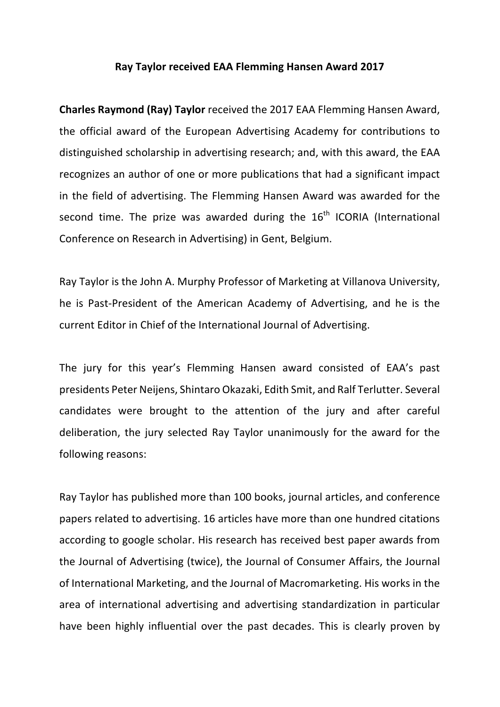## **Ray Taylor received EAA Flemming Hansen Award 2017**

**Charles Raymond (Ray) Taylor** received the 2017 EAA Flemming Hansen Award, the official award of the European Advertising Academy for contributions to distinguished scholarship in advertising research; and, with this award, the EAA recognizes an author of one or more publications that had a significant impact in the field of advertising. The Flemming Hansen Award was awarded for the second time. The prize was awarded during the  $16<sup>th</sup>$  ICORIA (International Conference on Research in Advertising) in Gent, Belgium.

Ray Taylor is the John A. Murphy Professor of Marketing at Villanova University, he is Past-President of the American Academy of Advertising, and he is the current Editor in Chief of the International Journal of Advertising.

The jury for this year's Flemming Hansen award consisted of EAA's past presidents Peter Neijens, Shintaro Okazaki, Edith Smit, and Ralf Terlutter. Several candidates were brought to the attention of the jury and after careful deliberation, the jury selected Ray Taylor unanimously for the award for the following reasons:

Ray Taylor has published more than 100 books, journal articles, and conference papers related to advertising. 16 articles have more than one hundred citations according to google scholar. His research has received best paper awards from the Journal of Advertising (twice), the Journal of Consumer Affairs, the Journal of International Marketing, and the Journal of Macromarketing. His works in the area of international advertising and advertising standardization in particular have been highly influential over the past decades. This is clearly proven by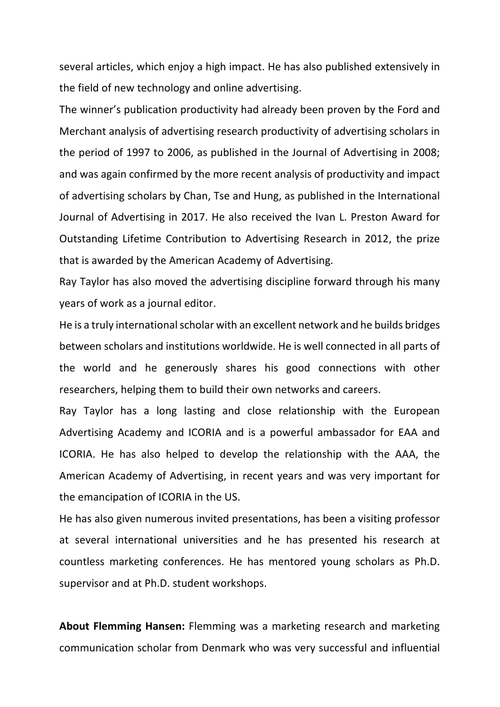several articles, which enjoy a high impact. He has also published extensively in the field of new technology and online advertising.

The winner's publication productivity had already been proven by the Ford and Merchant analysis of advertising research productivity of advertising scholars in the period of 1997 to 2006, as published in the Journal of Advertising in 2008; and was again confirmed by the more recent analysis of productivity and impact of advertising scholars by Chan, Tse and Hung, as published in the International Journal of Advertising in 2017. He also received the Ivan L. Preston Award for Outstanding Lifetime Contribution to Advertising Research in 2012, the prize that is awarded by the American Academy of Advertising.

Ray Taylor has also moved the advertising discipline forward through his many years of work as a journal editor.

He is a truly international scholar with an excellent network and he builds bridges between scholars and institutions worldwide. He is well connected in all parts of the world and he generously shares his good connections with other researchers, helping them to build their own networks and careers.

Ray Taylor has a long lasting and close relationship with the European Advertising Academy and ICORIA and is a powerful ambassador for EAA and ICORIA. He has also helped to develop the relationship with the AAA, the American Academy of Advertising, in recent years and was very important for the emancipation of ICORIA in the US.

He has also given numerous invited presentations, has been a visiting professor at several international universities and he has presented his research at countless marketing conferences. He has mentored young scholars as Ph.D. supervisor and at Ph.D. student workshops.

**About Flemming Hansen:** Flemming was a marketing research and marketing communication scholar from Denmark who was very successful and influential